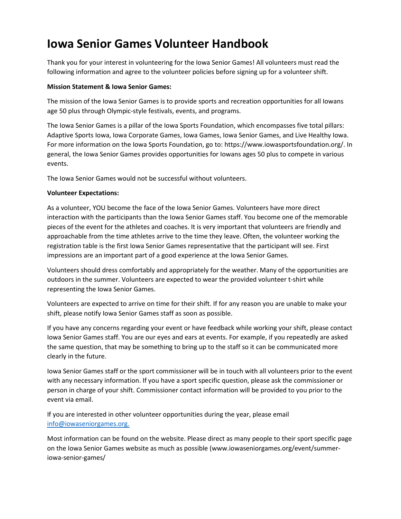## **Iowa Senior Games Volunteer Handbook**

Thank you for your interest in volunteering for the Iowa Senior Games! All volunteers must read the following information and agree to the volunteer policies before signing up for a volunteer shift.

## **Mission Statement & Iowa Senior Games:**

The mission of the Iowa Senior Games is to provide sports and recreation opportunities for all Iowans age 50 plus through Olympic-style festivals, events, and programs.

The Iowa Senior Games is a pillar of the Iowa Sports Foundation, which encompasses five total pillars: Adaptive Sports Iowa, Iowa Corporate Games, Iowa Games, Iowa Senior Games, and Live Healthy Iowa. For more information on the Iowa Sports Foundation, go to: https://www.iowasportsfoundation.org/. In general, the Iowa Senior Games provides opportunities for Iowans ages 50 plus to compete in various events.

The Iowa Senior Games would not be successful without volunteers.

## **Volunteer Expectations:**

As a volunteer, YOU become the face of the Iowa Senior Games. Volunteers have more direct interaction with the participants than the Iowa Senior Games staff. You become one of the memorable pieces of the event for the athletes and coaches. It is very important that volunteers are friendly and approachable from the time athletes arrive to the time they leave. Often, the volunteer working the registration table is the first Iowa Senior Games representative that the participant will see. First impressions are an important part of a good experience at the Iowa Senior Games.

Volunteers should dress comfortably and appropriately for the weather. Many of the opportunities are outdoors in the summer. Volunteers are expected to wear the provided volunteer t-shirt while representing the Iowa Senior Games.

Volunteers are expected to arrive on time for their shift. If for any reason you are unable to make your shift, please notify Iowa Senior Games staff as soon as possible.

If you have any concerns regarding your event or have feedback while working your shift, please contact Iowa Senior Games staff. You are our eyes and ears at events. For example, if you repeatedly are asked the same question, that may be something to bring up to the staff so it can be communicated more clearly in the future.

Iowa Senior Games staff or the sport commissioner will be in touch with all volunteers prior to the event with any necessary information. If you have a sport specific question, please ask the commissioner or person in charge of your shift. Commissioner contact information will be provided to you prior to the event via email.

If you are interested in other volunteer opportunities during the year, please email [info@iowaseniorgames.org.](mailto:info@iowaseniorgames.org.)

Most information can be found on the website. Please direct as many people to their sport specific page on the Iowa Senior Games website as much as possible (www.iowaseniorgames.org/event/summeriowa-senior-games/